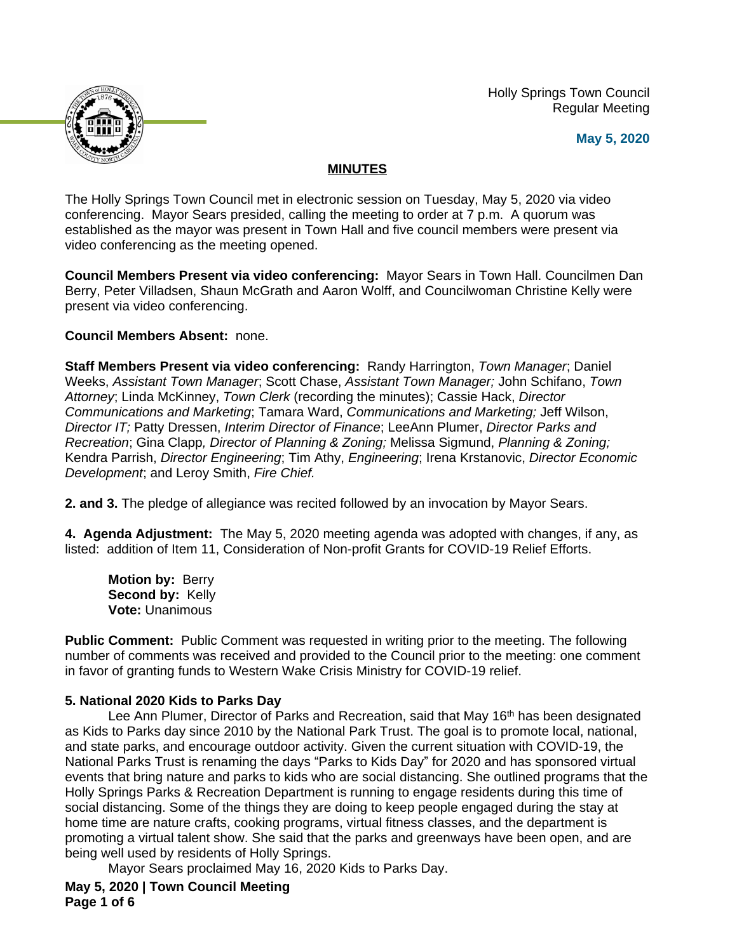Holly Springs Town Council Regular Meeting





# **MINUTES**

The Holly Springs Town Council met in electronic session on Tuesday, May 5, 2020 via video conferencing. Mayor Sears presided, calling the meeting to order at 7 p.m. A quorum was established as the mayor was present in Town Hall and five council members were present via video conferencing as the meeting opened.

**Council Members Present via video conferencing:** Mayor Sears in Town Hall. Councilmen Dan Berry, Peter Villadsen, Shaun McGrath and Aaron Wolff, and Councilwoman Christine Kelly were present via video conferencing.

# **Council Members Absent:** none.

**Staff Members Present via video conferencing:** Randy Harrington, *Town Manager*; Daniel Weeks, *Assistant Town Manager*; Scott Chase, *Assistant Town Manager;* John Schifano, *Town Attorney*; Linda McKinney, *Town Clerk* (recording the minutes); Cassie Hack, *Director Communications and Marketing*; Tamara Ward, *Communications and Marketing;* Jeff Wilson, *Director IT;* Patty Dressen, *Interim Director of Finance*; LeeAnn Plumer, *Director Parks and Recreation*; Gina Clapp*, Director of Planning & Zoning;* Melissa Sigmund, *Planning & Zoning;*  Kendra Parrish, *Director Engineering*; Tim Athy, *Engineering*; Irena Krstanovic, *Director Economic Development*; and Leroy Smith, *Fire Chief.*

**2. and 3.** The pledge of allegiance was recited followed by an invocation by Mayor Sears.

**4. Agenda Adjustment:** The May 5, 2020 meeting agenda was adopted with changes, if any, as listed: addition of Item 11, Consideration of Non-profit Grants for COVID-19 Relief Efforts.

**Motion by:** Berry Second by: Kelly **Vote:** Unanimous

**Public Comment:** Public Comment was requested in writing prior to the meeting. The following number of comments was received and provided to the Council prior to the meeting: one comment in favor of granting funds to Western Wake Crisis Ministry for COVID-19 relief.

# **5. National 2020 Kids to Parks Day**

Lee Ann Plumer, Director of Parks and Recreation, said that May 16<sup>th</sup> has been designated as Kids to Parks day since 2010 by the National Park Trust. The goal is to promote local, national, and state parks, and encourage outdoor activity. Given the current situation with COVID-19, the National Parks Trust is renaming the days "Parks to Kids Day" for 2020 and has sponsored virtual events that bring nature and parks to kids who are social distancing. She outlined programs that the Holly Springs Parks & Recreation Department is running to engage residents during this time of social distancing. Some of the things they are doing to keep people engaged during the stay at home time are nature crafts, cooking programs, virtual fitness classes, and the department is promoting a virtual talent show. She said that the parks and greenways have been open, and are being well used by residents of Holly Springs.

Mayor Sears proclaimed May 16, 2020 Kids to Parks Day.

**May 5, 2020 | Town Council Meeting Page 1 of 6**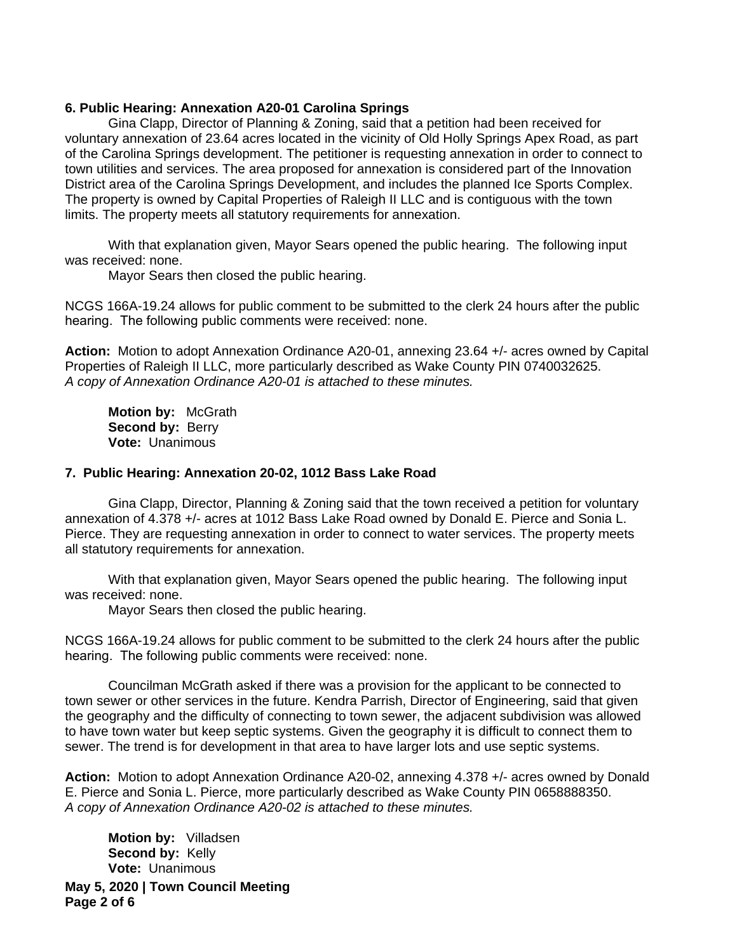#### **6. Public Hearing: Annexation A20-01 Carolina Springs**

Gina Clapp, Director of Planning & Zoning, said that a petition had been received for voluntary annexation of 23.64 acres located in the vicinity of Old Holly Springs Apex Road, as part of the Carolina Springs development. The petitioner is requesting annexation in order to connect to town utilities and services. The area proposed for annexation is considered part of the Innovation District area of the Carolina Springs Development, and includes the planned Ice Sports Complex. The property is owned by Capital Properties of Raleigh II LLC and is contiguous with the town limits. The property meets all statutory requirements for annexation.

With that explanation given, Mayor Sears opened the public hearing. The following input was received: none.

Mayor Sears then closed the public hearing.

NCGS 166A-19.24 allows for public comment to be submitted to the clerk 24 hours after the public hearing. The following public comments were received: none.

**Action:** Motion to adopt Annexation Ordinance A20-01, annexing 23.64 +/- acres owned by Capital Properties of Raleigh II LLC, more particularly described as Wake County PIN 0740032625. *A copy of Annexation Ordinance A20-01 is attached to these minutes.*

**Motion by:** McGrath **Second by: Berry Vote:** Unanimous

#### **7. Public Hearing: Annexation 20-02, 1012 Bass Lake Road**

Gina Clapp, Director, Planning & Zoning said that the town received a petition for voluntary annexation of 4.378 +/- acres at 1012 Bass Lake Road owned by Donald E. Pierce and Sonia L. Pierce. They are requesting annexation in order to connect to water services. The property meets all statutory requirements for annexation.

With that explanation given, Mayor Sears opened the public hearing. The following input was received: none.

Mayor Sears then closed the public hearing.

NCGS 166A-19.24 allows for public comment to be submitted to the clerk 24 hours after the public hearing. The following public comments were received: none.

Councilman McGrath asked if there was a provision for the applicant to be connected to town sewer or other services in the future. Kendra Parrish, Director of Engineering, said that given the geography and the difficulty of connecting to town sewer, the adjacent subdivision was allowed to have town water but keep septic systems. Given the geography it is difficult to connect them to sewer. The trend is for development in that area to have larger lots and use septic systems.

**Action:** Motion to adopt Annexation Ordinance A20-02, annexing 4.378 +/- acres owned by Donald E. Pierce and Sonia L. Pierce, more particularly described as Wake County PIN 0658888350. *A copy of Annexation Ordinance A20-02 is attached to these minutes.*

**Motion by:** Villadsen Second by: Kelly **Vote:** Unanimous

**May 5, 2020 | Town Council Meeting Page 2 of 6**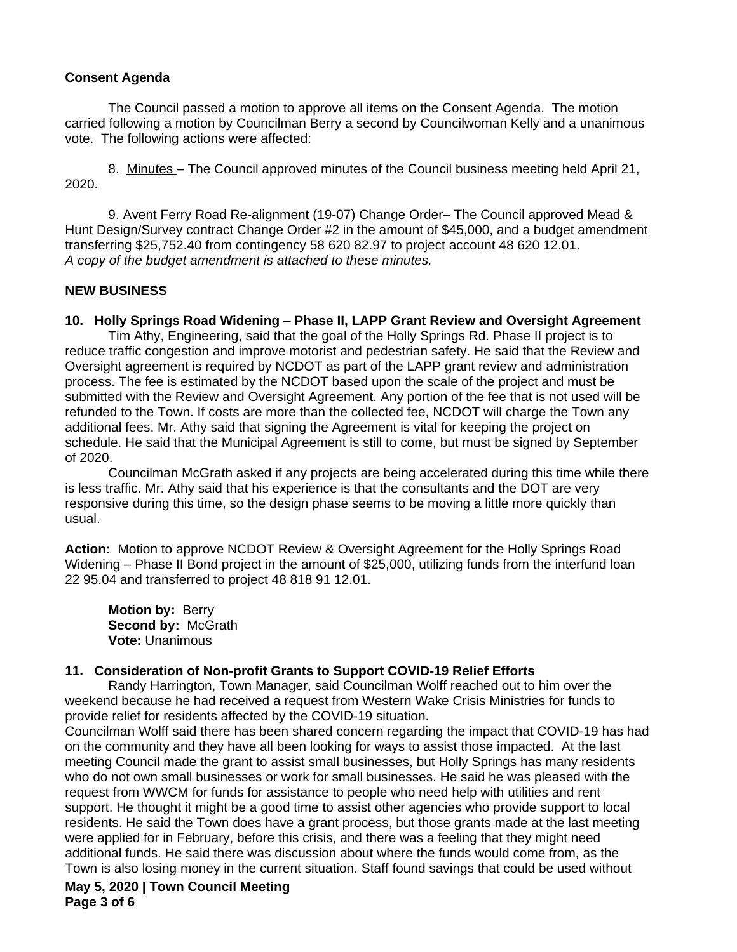# **Consent Agenda**

The Council passed a motion to approve all items on the Consent Agenda. The motion carried following a motion by Councilman Berry a second by Councilwoman Kelly and a unanimous vote. The following actions were affected:

8. Minutes – The Council approved minutes of the Council business meeting held April 21, 2020.

9. Avent Ferry Road Re-alignment (19-07) Change Order– The Council approved Mead & Hunt Design/Survey contract Change Order #2 in the amount of \$45,000, and a budget amendment transferring \$25,752.40 from contingency 58 620 82.97 to project account 48 620 12.01. *A copy of the budget amendment is attached to these minutes.*

# **NEW BUSINESS**

# **10. Holly Springs Road Widening – Phase II, LAPP Grant Review and Oversight Agreement**

Tim Athy, Engineering, said that the goal of the Holly Springs Rd. Phase II project is to reduce traffic congestion and improve motorist and pedestrian safety. He said that the Review and Oversight agreement is required by NCDOT as part of the LAPP grant review and administration process. The fee is estimated by the NCDOT based upon the scale of the project and must be submitted with the Review and Oversight Agreement. Any portion of the fee that is not used will be refunded to the Town. If costs are more than the collected fee, NCDOT will charge the Town any additional fees. Mr. Athy said that signing the Agreement is vital for keeping the project on schedule. He said that the Municipal Agreement is still to come, but must be signed by September of 2020.

Councilman McGrath asked if any projects are being accelerated during this time while there is less traffic. Mr. Athy said that his experience is that the consultants and the DOT are very responsive during this time, so the design phase seems to be moving a little more quickly than usual.

**Action:** Motion to approve NCDOT Review & Oversight Agreement for the Holly Springs Road Widening – Phase II Bond project in the amount of \$25,000, utilizing funds from the interfund loan 22 95.04 and transferred to project 48 818 91 12.01.

**Motion by:** Berry **Second by:** McGrath **Vote:** Unanimous

# **11. Consideration of Non-profit Grants to Support COVID-19 Relief Efforts**

Randy Harrington, Town Manager, said Councilman Wolff reached out to him over the weekend because he had received a request from Western Wake Crisis Ministries for funds to provide relief for residents affected by the COVID-19 situation.

Councilman Wolff said there has been shared concern regarding the impact that COVID-19 has had on the community and they have all been looking for ways to assist those impacted. At the last meeting Council made the grant to assist small businesses, but Holly Springs has many residents who do not own small businesses or work for small businesses. He said he was pleased with the request from WWCM for funds for assistance to people who need help with utilities and rent support. He thought it might be a good time to assist other agencies who provide support to local residents. He said the Town does have a grant process, but those grants made at the last meeting were applied for in February, before this crisis, and there was a feeling that they might need additional funds. He said there was discussion about where the funds would come from, as the Town is also losing money in the current situation. Staff found savings that could be used without

**May 5, 2020 | Town Council Meeting Page 3 of 6**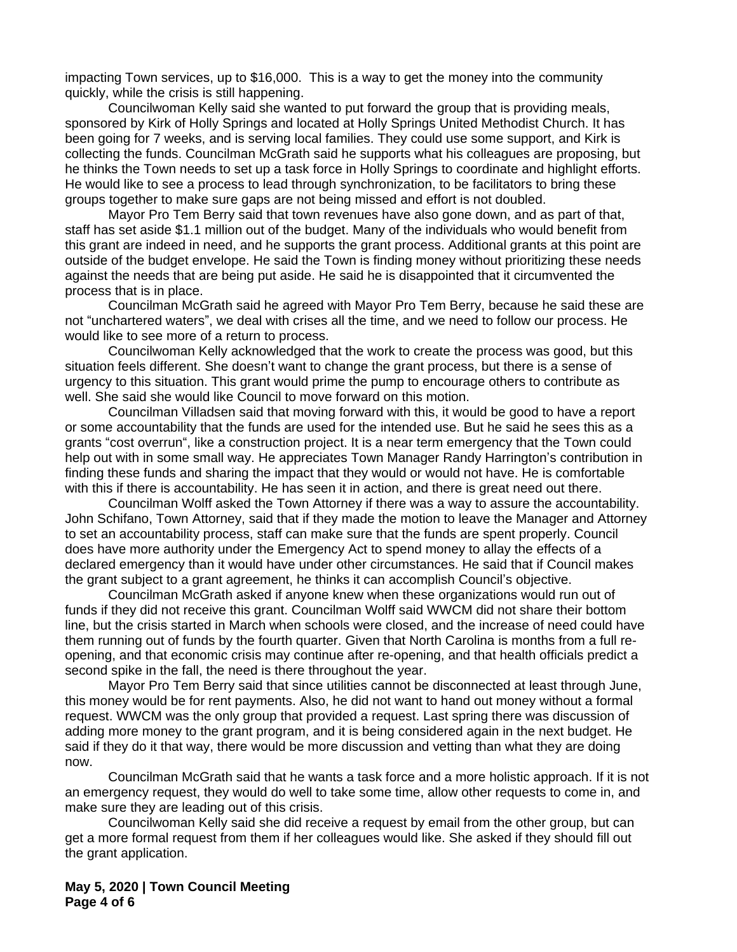impacting Town services, up to \$16,000. This is a way to get the money into the community quickly, while the crisis is still happening.

Councilwoman Kelly said she wanted to put forward the group that is providing meals, sponsored by Kirk of Holly Springs and located at Holly Springs United Methodist Church. It has been going for 7 weeks, and is serving local families. They could use some support, and Kirk is collecting the funds. Councilman McGrath said he supports what his colleagues are proposing, but he thinks the Town needs to set up a task force in Holly Springs to coordinate and highlight efforts. He would like to see a process to lead through synchronization, to be facilitators to bring these groups together to make sure gaps are not being missed and effort is not doubled.

Mayor Pro Tem Berry said that town revenues have also gone down, and as part of that, staff has set aside \$1.1 million out of the budget. Many of the individuals who would benefit from this grant are indeed in need, and he supports the grant process. Additional grants at this point are outside of the budget envelope. He said the Town is finding money without prioritizing these needs against the needs that are being put aside. He said he is disappointed that it circumvented the process that is in place.

Councilman McGrath said he agreed with Mayor Pro Tem Berry, because he said these are not "unchartered waters", we deal with crises all the time, and we need to follow our process. He would like to see more of a return to process.

Councilwoman Kelly acknowledged that the work to create the process was good, but this situation feels different. She doesn't want to change the grant process, but there is a sense of urgency to this situation. This grant would prime the pump to encourage others to contribute as well. She said she would like Council to move forward on this motion.

Councilman Villadsen said that moving forward with this, it would be good to have a report or some accountability that the funds are used for the intended use. But he said he sees this as a grants "cost overrun", like a construction project. It is a near term emergency that the Town could help out with in some small way. He appreciates Town Manager Randy Harrington's contribution in finding these funds and sharing the impact that they would or would not have. He is comfortable with this if there is accountability. He has seen it in action, and there is great need out there.

Councilman Wolff asked the Town Attorney if there was a way to assure the accountability. John Schifano, Town Attorney, said that if they made the motion to leave the Manager and Attorney to set an accountability process, staff can make sure that the funds are spent properly. Council does have more authority under the Emergency Act to spend money to allay the effects of a declared emergency than it would have under other circumstances. He said that if Council makes the grant subject to a grant agreement, he thinks it can accomplish Council's objective.

Councilman McGrath asked if anyone knew when these organizations would run out of funds if they did not receive this grant. Councilman Wolff said WWCM did not share their bottom line, but the crisis started in March when schools were closed, and the increase of need could have them running out of funds by the fourth quarter. Given that North Carolina is months from a full reopening, and that economic crisis may continue after re-opening, and that health officials predict a second spike in the fall, the need is there throughout the year.

Mayor Pro Tem Berry said that since utilities cannot be disconnected at least through June, this money would be for rent payments. Also, he did not want to hand out money without a formal request. WWCM was the only group that provided a request. Last spring there was discussion of adding more money to the grant program, and it is being considered again in the next budget. He said if they do it that way, there would be more discussion and vetting than what they are doing now.

Councilman McGrath said that he wants a task force and a more holistic approach. If it is not an emergency request, they would do well to take some time, allow other requests to come in, and make sure they are leading out of this crisis.

Councilwoman Kelly said she did receive a request by email from the other group, but can get a more formal request from them if her colleagues would like. She asked if they should fill out the grant application.

**May 5, 2020 | Town Council Meeting Page 4 of 6**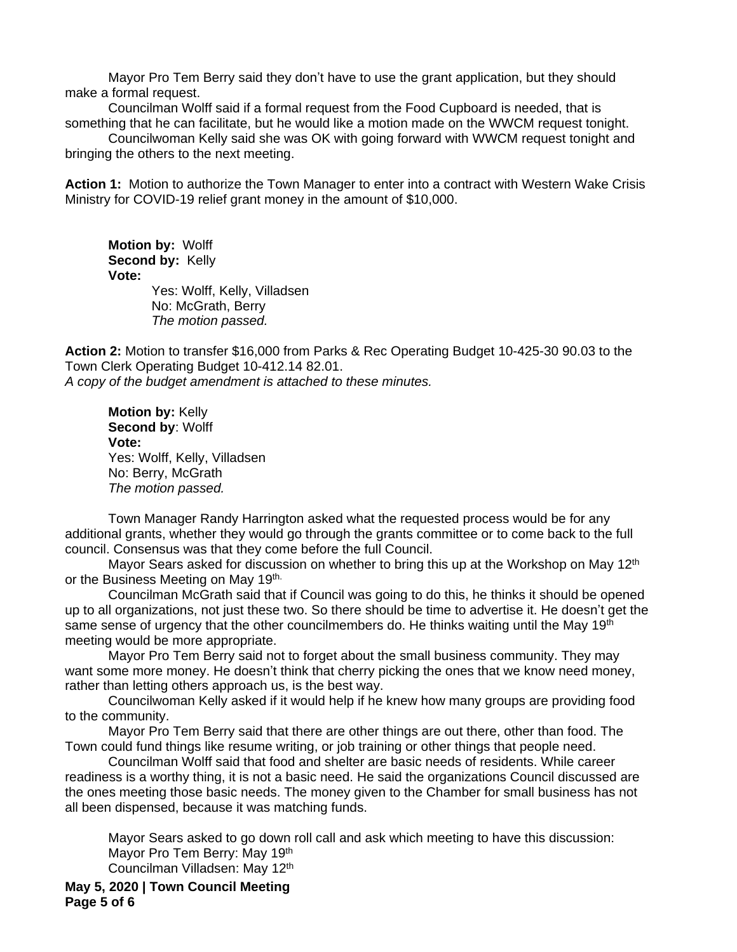Mayor Pro Tem Berry said they don't have to use the grant application, but they should make a formal request.

Councilman Wolff said if a formal request from the Food Cupboard is needed, that is something that he can facilitate, but he would like a motion made on the WWCM request tonight.

Councilwoman Kelly said she was OK with going forward with WWCM request tonight and bringing the others to the next meeting.

**Action 1:** Motion to authorize the Town Manager to enter into a contract with Western Wake Crisis Ministry for COVID-19 relief grant money in the amount of \$10,000.

**Motion by:** Wolff **Second by:** Kelly **Vote:** Yes: Wolff, Kelly, Villadsen No: McGrath, Berry

*The motion passed.*

**Action 2:** Motion to transfer \$16,000 from Parks & Rec Operating Budget 10-425-30 90.03 to the Town Clerk Operating Budget 10-412.14 82.01. *A copy of the budget amendment is attached to these minutes.*

**Motion by:** Kelly **Second by**: Wolff **Vote:** Yes: Wolff, Kelly, Villadsen No: Berry, McGrath *The motion passed.*

Town Manager Randy Harrington asked what the requested process would be for any additional grants, whether they would go through the grants committee or to come back to the full council. Consensus was that they come before the full Council.

Mayor Sears asked for discussion on whether to bring this up at the Workshop on May 12<sup>th</sup> or the Business Meeting on May 19th.

Councilman McGrath said that if Council was going to do this, he thinks it should be opened up to all organizations, not just these two. So there should be time to advertise it. He doesn't get the same sense of urgency that the other councilmembers do. He thinks waiting until the May 19<sup>th</sup> meeting would be more appropriate.

Mayor Pro Tem Berry said not to forget about the small business community. They may want some more money. He doesn't think that cherry picking the ones that we know need money, rather than letting others approach us, is the best way.

Councilwoman Kelly asked if it would help if he knew how many groups are providing food to the community.

Mayor Pro Tem Berry said that there are other things are out there, other than food. The Town could fund things like resume writing, or job training or other things that people need.

Councilman Wolff said that food and shelter are basic needs of residents. While career readiness is a worthy thing, it is not a basic need. He said the organizations Council discussed are the ones meeting those basic needs. The money given to the Chamber for small business has not all been dispensed, because it was matching funds.

Mayor Sears asked to go down roll call and ask which meeting to have this discussion: Mayor Pro Tem Berry: May 19th Councilman Villadsen: May 12th

**May 5, 2020 | Town Council Meeting Page 5 of 6**